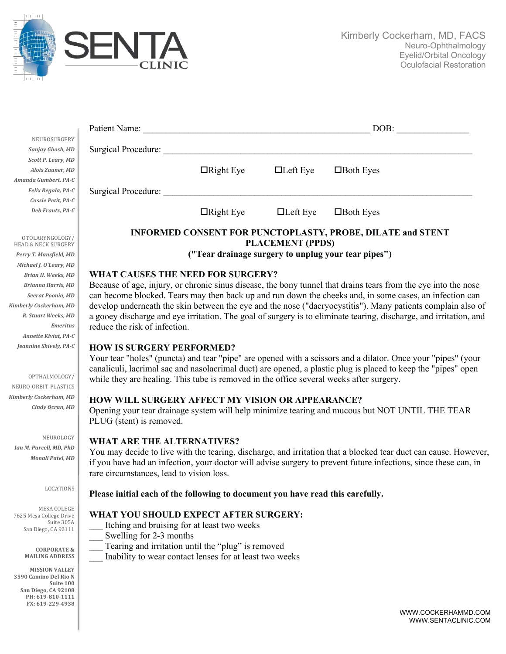

| Patient Name:                                     |                                                                                                                                                                                                                                                                                                                                                                                                                                                                                                                                            |                  | DOB:            |                  |  |
|---------------------------------------------------|--------------------------------------------------------------------------------------------------------------------------------------------------------------------------------------------------------------------------------------------------------------------------------------------------------------------------------------------------------------------------------------------------------------------------------------------------------------------------------------------------------------------------------------------|------------------|-----------------|------------------|--|
| NEUROSURGERY                                      |                                                                                                                                                                                                                                                                                                                                                                                                                                                                                                                                            |                  |                 |                  |  |
| Sanjay Ghosh, MD                                  | <b>Surgical Procedure:</b>                                                                                                                                                                                                                                                                                                                                                                                                                                                                                                                 |                  |                 |                  |  |
| Scott P. Leary, MD                                |                                                                                                                                                                                                                                                                                                                                                                                                                                                                                                                                            |                  |                 |                  |  |
| Alois Zauner, MD                                  |                                                                                                                                                                                                                                                                                                                                                                                                                                                                                                                                            | $\Box$ Right Eye | $\Box$ Left Eye | $\Box$ Both Eyes |  |
| Amanda Gumbert, PA-C                              |                                                                                                                                                                                                                                                                                                                                                                                                                                                                                                                                            |                  |                 |                  |  |
| Felix Regala, PA-C                                | Surgical Procedure:                                                                                                                                                                                                                                                                                                                                                                                                                                                                                                                        |                  |                 |                  |  |
| Cassie Petit, PA-C                                |                                                                                                                                                                                                                                                                                                                                                                                                                                                                                                                                            |                  |                 |                  |  |
| Deb Frantz, PA-C                                  |                                                                                                                                                                                                                                                                                                                                                                                                                                                                                                                                            | $\Box$ Right Eye | $\Box$ Left Eye | $\Box$ Both Eyes |  |
|                                                   |                                                                                                                                                                                                                                                                                                                                                                                                                                                                                                                                            |                  |                 |                  |  |
|                                                   | <b>INFORMED CONSENT FOR PUNCTOPLASTY, PROBE, DILATE and STENT</b>                                                                                                                                                                                                                                                                                                                                                                                                                                                                          |                  |                 |                  |  |
| OTOLARYNGOLOGY/<br><b>HEAD &amp; NECK SURGERY</b> | <b>PLACEMENT (PPDS)</b><br>("Tear drainage surgery to unplug your tear pipes")                                                                                                                                                                                                                                                                                                                                                                                                                                                             |                  |                 |                  |  |
| Perry T. Mansfield, MD                            |                                                                                                                                                                                                                                                                                                                                                                                                                                                                                                                                            |                  |                 |                  |  |
| Michael J. O'Leary, MD                            |                                                                                                                                                                                                                                                                                                                                                                                                                                                                                                                                            |                  |                 |                  |  |
| Brian H. Weeks, MD                                | <b>WHAT CAUSES THE NEED FOR SURGERY?</b><br>Because of age, injury, or chronic sinus disease, the bony tunnel that drains tears from the eye into the nose<br>can become blocked. Tears may then back up and run down the cheeks and, in some cases, an infection can<br>develop underneath the skin between the eye and the nose ("dacryocystitis"). Many patients complain also of<br>a gooey discharge and eye irritation. The goal of surgery is to eliminate tearing, discharge, and irritation, and<br>reduce the risk of infection. |                  |                 |                  |  |
| <b>Brianna Harris, MD</b>                         |                                                                                                                                                                                                                                                                                                                                                                                                                                                                                                                                            |                  |                 |                  |  |
| Seerat Poonia, MD                                 |                                                                                                                                                                                                                                                                                                                                                                                                                                                                                                                                            |                  |                 |                  |  |
| Kimberly Cockerham, MD                            |                                                                                                                                                                                                                                                                                                                                                                                                                                                                                                                                            |                  |                 |                  |  |
| R. Stuart Weeks, MD                               |                                                                                                                                                                                                                                                                                                                                                                                                                                                                                                                                            |                  |                 |                  |  |
| <b>Emeritus</b>                                   |                                                                                                                                                                                                                                                                                                                                                                                                                                                                                                                                            |                  |                 |                  |  |
| Annette Kiviat, PA-C                              |                                                                                                                                                                                                                                                                                                                                                                                                                                                                                                                                            |                  |                 |                  |  |
| Jeannine Shively, PA-C                            | <b>HOW IS SURGERY PERFORMED?</b><br>Your tear "holes" (puncta) and tear "pipe" are opened with a scissors and a dilator. Once your "pipes" (your<br>canaliculi, lacrimal sac and nasolacrimal duct) are opened, a plastic plug is placed to keep the "pipes" open<br>while they are healing. This tube is removed in the office several weeks after surgery.                                                                                                                                                                               |                  |                 |                  |  |
|                                                   |                                                                                                                                                                                                                                                                                                                                                                                                                                                                                                                                            |                  |                 |                  |  |
|                                                   |                                                                                                                                                                                                                                                                                                                                                                                                                                                                                                                                            |                  |                 |                  |  |
| OPTHALMOLOGY/                                     |                                                                                                                                                                                                                                                                                                                                                                                                                                                                                                                                            |                  |                 |                  |  |
| NEURO-ORBIT-PLASTICS                              |                                                                                                                                                                                                                                                                                                                                                                                                                                                                                                                                            |                  |                 |                  |  |
| <b>Kimberly Cockerham, MD</b>                     | <b>HOW WILL SURGERY AFFECT MY VISION OR APPEARANCE?</b>                                                                                                                                                                                                                                                                                                                                                                                                                                                                                    |                  |                 |                  |  |
| Cindy Ocran, MD                                   | Opening your tear drainage system will help minimize tearing and mucous but NOT UNTIL THE TEAR                                                                                                                                                                                                                                                                                                                                                                                                                                             |                  |                 |                  |  |
|                                                   | PLUG (stent) is removed.                                                                                                                                                                                                                                                                                                                                                                                                                                                                                                                   |                  |                 |                  |  |
|                                                   |                                                                                                                                                                                                                                                                                                                                                                                                                                                                                                                                            |                  |                 |                  |  |
| NEUROLOGY                                         | <b>WHAT ARE THE ALTERNATIVES?</b><br>You may decide to live with the tearing, discharge, and irritation that a blocked tear duct can cause. However,<br>if you have had an infection, your doctor will advise surgery to prevent future infections, since these can, in                                                                                                                                                                                                                                                                    |                  |                 |                  |  |
| Ian M. Purcell, MD, PhD                           |                                                                                                                                                                                                                                                                                                                                                                                                                                                                                                                                            |                  |                 |                  |  |
| Monali Patel, MD                                  |                                                                                                                                                                                                                                                                                                                                                                                                                                                                                                                                            |                  |                 |                  |  |
|                                                   | rare circumstances, lead to vision loss.                                                                                                                                                                                                                                                                                                                                                                                                                                                                                                   |                  |                 |                  |  |
|                                                   |                                                                                                                                                                                                                                                                                                                                                                                                                                                                                                                                            |                  |                 |                  |  |
| LOCATIONS                                         | Please initial each of the following to document you have read this carefully.                                                                                                                                                                                                                                                                                                                                                                                                                                                             |                  |                 |                  |  |
|                                                   |                                                                                                                                                                                                                                                                                                                                                                                                                                                                                                                                            |                  |                 |                  |  |
| MESA COLEGE<br>7625 Mesa College Drive            | WHAT YOU SHOULD EXPECT AFTER SURGERY:                                                                                                                                                                                                                                                                                                                                                                                                                                                                                                      |                  |                 |                  |  |
| Suite 305A                                        | Itching and bruising for at least two weeks                                                                                                                                                                                                                                                                                                                                                                                                                                                                                                |                  |                 |                  |  |
| San Diego, CA 92111                               | Swelling for 2-3 months                                                                                                                                                                                                                                                                                                                                                                                                                                                                                                                    |                  |                 |                  |  |
|                                                   | Tearing and irritation until the "plug" is removed                                                                                                                                                                                                                                                                                                                                                                                                                                                                                         |                  |                 |                  |  |
| <b>CORPORATE &amp;</b><br><b>MAILING ADDRESS</b>  | Inability to wear contact lenses for at least two weeks                                                                                                                                                                                                                                                                                                                                                                                                                                                                                    |                  |                 |                  |  |
|                                                   |                                                                                                                                                                                                                                                                                                                                                                                                                                                                                                                                            |                  |                 |                  |  |
| <b>MISSION VALLEY</b><br>3590 Camino Del Rio N    |                                                                                                                                                                                                                                                                                                                                                                                                                                                                                                                                            |                  |                 |                  |  |
| Suite 100                                         |                                                                                                                                                                                                                                                                                                                                                                                                                                                                                                                                            |                  |                 |                  |  |
| San Diego, CA 92108<br>PH: 619-810-1111           |                                                                                                                                                                                                                                                                                                                                                                                                                                                                                                                                            |                  |                 |                  |  |
| FX: 619-229-4938                                  |                                                                                                                                                                                                                                                                                                                                                                                                                                                                                                                                            |                  |                 |                  |  |